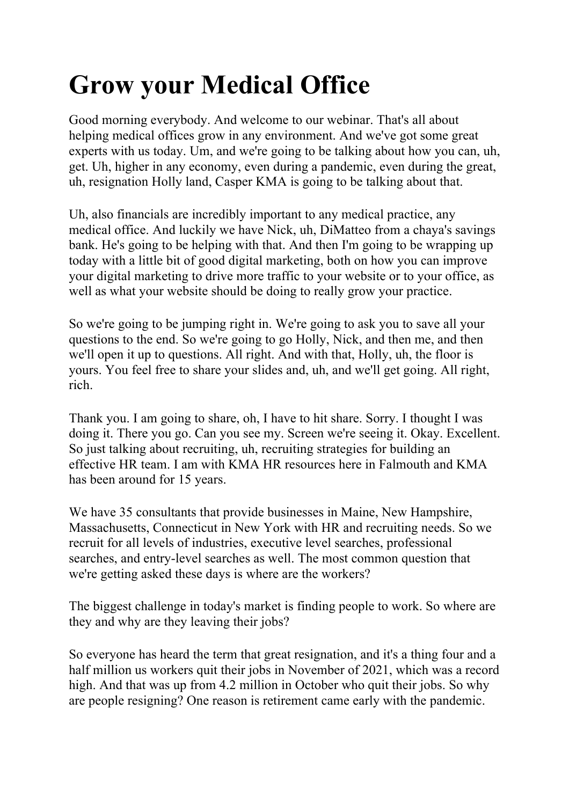## **Grow your Medical Office**

Good morning everybody. And welcome to our webinar. That's all about helping medical offices grow in any environment. And we've got some great experts with us today. Um, and we're going to be talking about how you can, uh, get. Uh, higher in any economy, even during a pandemic, even during the great, uh, resignation Holly land, Casper KMA is going to be talking about that.

Uh, also financials are incredibly important to any medical practice, any medical office. And luckily we have Nick, uh, DiMatteo from a chaya's savings bank. He's going to be helping with that. And then I'm going to be wrapping up today with a little bit of good digital marketing, both on how you can improve your digital marketing to drive more traffic to your website or to your office, as well as what your website should be doing to really grow your practice.

So we're going to be jumping right in. We're going to ask you to save all your questions to the end. So we're going to go Holly, Nick, and then me, and then we'll open it up to questions. All right. And with that, Holly, uh, the floor is yours. You feel free to share your slides and, uh, and we'll get going. All right, rich.

Thank you. I am going to share, oh, I have to hit share. Sorry. I thought I was doing it. There you go. Can you see my. Screen we're seeing it. Okay. Excellent. So just talking about recruiting, uh, recruiting strategies for building an effective HR team. I am with KMA HR resources here in Falmouth and KMA has been around for 15 years.

We have 35 consultants that provide businesses in Maine, New Hampshire, Massachusetts, Connecticut in New York with HR and recruiting needs. So we recruit for all levels of industries, executive level searches, professional searches, and entry-level searches as well. The most common question that we're getting asked these days is where are the workers?

The biggest challenge in today's market is finding people to work. So where are they and why are they leaving their jobs?

So everyone has heard the term that great resignation, and it's a thing four and a half million us workers quit their jobs in November of 2021, which was a record high. And that was up from 4.2 million in October who quit their jobs. So why are people resigning? One reason is retirement came early with the pandemic.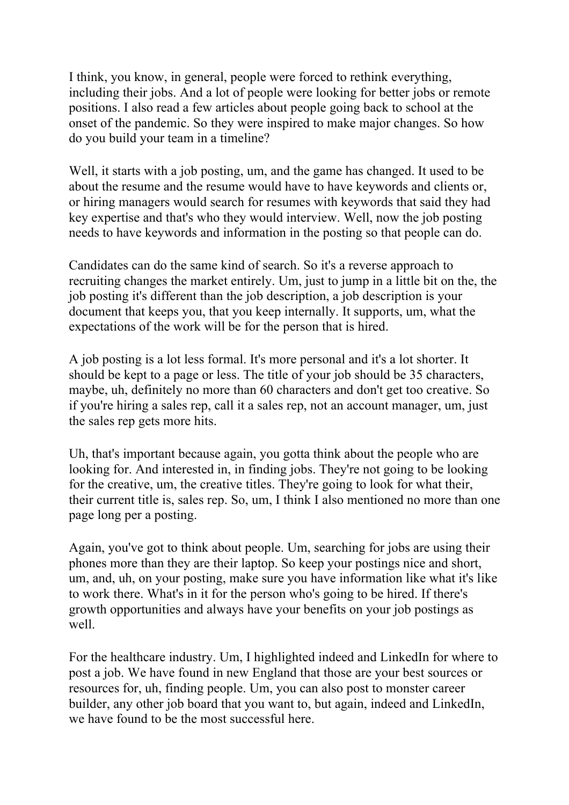I think, you know, in general, people were forced to rethink everything, including their jobs. And a lot of people were looking for better jobs or remote positions. I also read a few articles about people going back to school at the onset of the pandemic. So they were inspired to make major changes. So how do you build your team in a timeline?

Well, it starts with a job posting, um, and the game has changed. It used to be about the resume and the resume would have to have keywords and clients or, or hiring managers would search for resumes with keywords that said they had key expertise and that's who they would interview. Well, now the job posting needs to have keywords and information in the posting so that people can do.

Candidates can do the same kind of search. So it's a reverse approach to recruiting changes the market entirely. Um, just to jump in a little bit on the, the job posting it's different than the job description, a job description is your document that keeps you, that you keep internally. It supports, um, what the expectations of the work will be for the person that is hired.

A job posting is a lot less formal. It's more personal and it's a lot shorter. It should be kept to a page or less. The title of your job should be 35 characters, maybe, uh, definitely no more than 60 characters and don't get too creative. So if you're hiring a sales rep, call it a sales rep, not an account manager, um, just the sales rep gets more hits.

Uh, that's important because again, you gotta think about the people who are looking for. And interested in, in finding jobs. They're not going to be looking for the creative, um, the creative titles. They're going to look for what their, their current title is, sales rep. So, um, I think I also mentioned no more than one page long per a posting.

Again, you've got to think about people. Um, searching for jobs are using their phones more than they are their laptop. So keep your postings nice and short, um, and, uh, on your posting, make sure you have information like what it's like to work there. What's in it for the person who's going to be hired. If there's growth opportunities and always have your benefits on your job postings as well.

For the healthcare industry. Um, I highlighted indeed and LinkedIn for where to post a job. We have found in new England that those are your best sources or resources for, uh, finding people. Um, you can also post to monster career builder, any other job board that you want to, but again, indeed and LinkedIn, we have found to be the most successful here.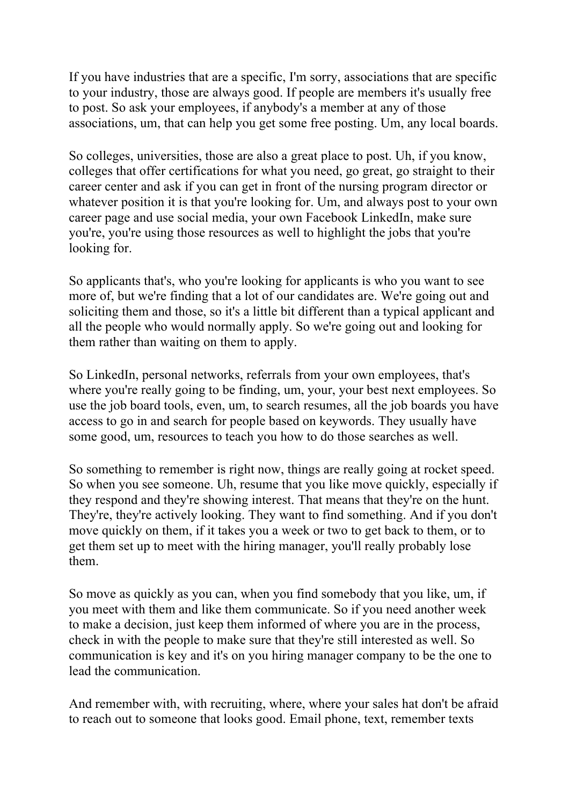If you have industries that are a specific, I'm sorry, associations that are specific to your industry, those are always good. If people are members it's usually free to post. So ask your employees, if anybody's a member at any of those associations, um, that can help you get some free posting. Um, any local boards.

So colleges, universities, those are also a great place to post. Uh, if you know, colleges that offer certifications for what you need, go great, go straight to their career center and ask if you can get in front of the nursing program director or whatever position it is that you're looking for. Um, and always post to your own career page and use social media, your own Facebook LinkedIn, make sure you're, you're using those resources as well to highlight the jobs that you're looking for.

So applicants that's, who you're looking for applicants is who you want to see more of, but we're finding that a lot of our candidates are. We're going out and soliciting them and those, so it's a little bit different than a typical applicant and all the people who would normally apply. So we're going out and looking for them rather than waiting on them to apply.

So LinkedIn, personal networks, referrals from your own employees, that's where you're really going to be finding, um, your, your best next employees. So use the job board tools, even, um, to search resumes, all the job boards you have access to go in and search for people based on keywords. They usually have some good, um, resources to teach you how to do those searches as well.

So something to remember is right now, things are really going at rocket speed. So when you see someone. Uh, resume that you like move quickly, especially if they respond and they're showing interest. That means that they're on the hunt. They're, they're actively looking. They want to find something. And if you don't move quickly on them, if it takes you a week or two to get back to them, or to get them set up to meet with the hiring manager, you'll really probably lose them.

So move as quickly as you can, when you find somebody that you like, um, if you meet with them and like them communicate. So if you need another week to make a decision, just keep them informed of where you are in the process, check in with the people to make sure that they're still interested as well. So communication is key and it's on you hiring manager company to be the one to lead the communication.

And remember with, with recruiting, where, where your sales hat don't be afraid to reach out to someone that looks good. Email phone, text, remember texts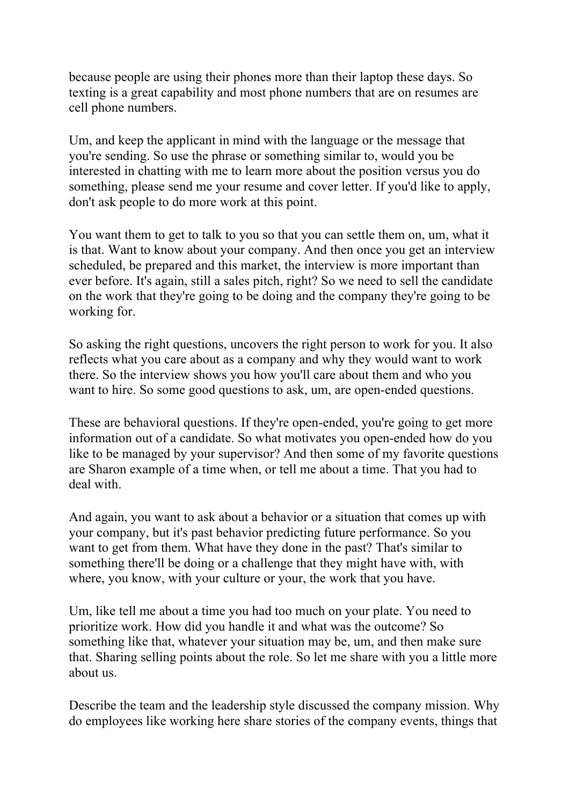because people are using their phones more than their laptop these days. So texting is a great capability and most phone numbers that are on resumes are cell phone numbers.

Um, and keep the applicant in mind with the language or the message that you're sending. So use the phrase or something similar to, would you be interested in chatting with me to learn more about the position versus you do something, please send me your resume and cover letter. If you'd like to apply, don't ask people to do more work at this point.

You want them to get to talk to you so that you can settle them on, um, what it is that. Want to know about your company. And then once you get an interview scheduled, be prepared and this market, the interview is more important than ever before. It's again, still a sales pitch, right? So we need to sell the candidate on the work that they're going to be doing and the company they're going to be working for.

So asking the right questions, uncovers the right person to work for you. It also reflects what you care about as a company and why they would want to work there. So the interview shows you how you'll care about them and who you want to hire. So some good questions to ask, um, are open-ended questions.

These are behavioral questions. If they're open-ended, you're going to get more information out of a candidate. So what motivates you open-ended how do you like to be managed by your supervisor? And then some of my favorite questions are Sharon example of a time when, or tell me about a time. That you had to deal with.

And again, you want to ask about a behavior or a situation that comes up with your company, but it's past behavior predicting future performance. So you want to get from them. What have they done in the past? That's similar to something there'll be doing or a challenge that they might have with, with where, you know, with your culture or your, the work that you have.

Um, like tell me about a time you had too much on your plate. You need to prioritize work. How did you handle it and what was the outcome? So something like that, whatever your situation may be, um, and then make sure that. Sharing selling points about the role. So let me share with you a little more about us.

Describe the team and the leadership style discussed the company mission. Why do employees like working here share stories of the company events, things that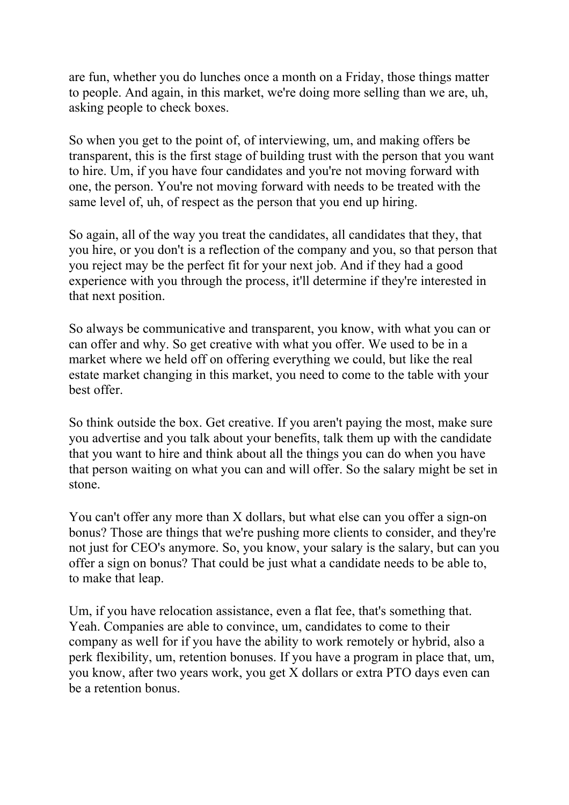are fun, whether you do lunches once a month on a Friday, those things matter to people. And again, in this market, we're doing more selling than we are, uh, asking people to check boxes.

So when you get to the point of, of interviewing, um, and making offers be transparent, this is the first stage of building trust with the person that you want to hire. Um, if you have four candidates and you're not moving forward with one, the person. You're not moving forward with needs to be treated with the same level of, uh, of respect as the person that you end up hiring.

So again, all of the way you treat the candidates, all candidates that they, that you hire, or you don't is a reflection of the company and you, so that person that you reject may be the perfect fit for your next job. And if they had a good experience with you through the process, it'll determine if they're interested in that next position.

So always be communicative and transparent, you know, with what you can or can offer and why. So get creative with what you offer. We used to be in a market where we held off on offering everything we could, but like the real estate market changing in this market, you need to come to the table with your best offer.

So think outside the box. Get creative. If you aren't paying the most, make sure you advertise and you talk about your benefits, talk them up with the candidate that you want to hire and think about all the things you can do when you have that person waiting on what you can and will offer. So the salary might be set in stone.

You can't offer any more than X dollars, but what else can you offer a sign-on bonus? Those are things that we're pushing more clients to consider, and they're not just for CEO's anymore. So, you know, your salary is the salary, but can you offer a sign on bonus? That could be just what a candidate needs to be able to, to make that leap.

Um, if you have relocation assistance, even a flat fee, that's something that. Yeah. Companies are able to convince, um, candidates to come to their company as well for if you have the ability to work remotely or hybrid, also a perk flexibility, um, retention bonuses. If you have a program in place that, um, you know, after two years work, you get X dollars or extra PTO days even can be a retention bonus.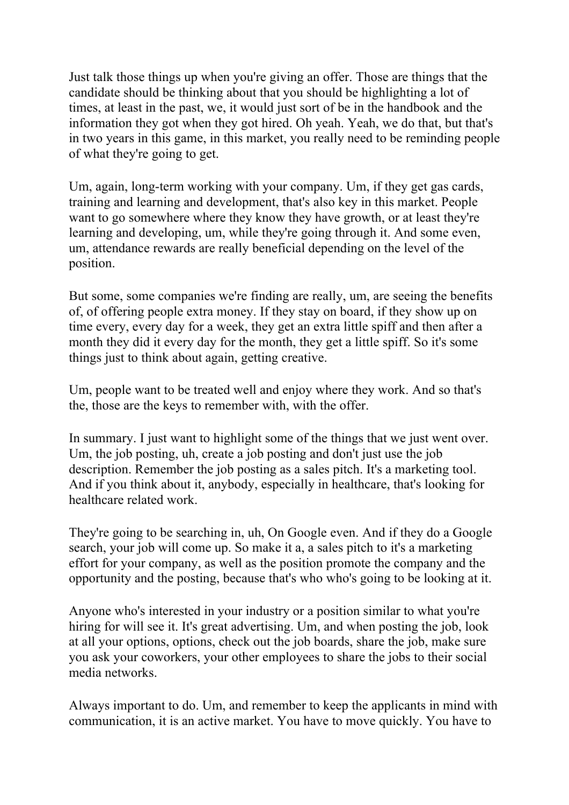Just talk those things up when you're giving an offer. Those are things that the candidate should be thinking about that you should be highlighting a lot of times, at least in the past, we, it would just sort of be in the handbook and the information they got when they got hired. Oh yeah. Yeah, we do that, but that's in two years in this game, in this market, you really need to be reminding people of what they're going to get.

Um, again, long-term working with your company. Um, if they get gas cards, training and learning and development, that's also key in this market. People want to go somewhere where they know they have growth, or at least they're learning and developing, um, while they're going through it. And some even, um, attendance rewards are really beneficial depending on the level of the position.

But some, some companies we're finding are really, um, are seeing the benefits of, of offering people extra money. If they stay on board, if they show up on time every, every day for a week, they get an extra little spiff and then after a month they did it every day for the month, they get a little spiff. So it's some things just to think about again, getting creative.

Um, people want to be treated well and enjoy where they work. And so that's the, those are the keys to remember with, with the offer.

In summary. I just want to highlight some of the things that we just went over. Um, the job posting, uh, create a job posting and don't just use the job description. Remember the job posting as a sales pitch. It's a marketing tool. And if you think about it, anybody, especially in healthcare, that's looking for healthcare related work.

They're going to be searching in, uh, On Google even. And if they do a Google search, your job will come up. So make it a, a sales pitch to it's a marketing effort for your company, as well as the position promote the company and the opportunity and the posting, because that's who who's going to be looking at it.

Anyone who's interested in your industry or a position similar to what you're hiring for will see it. It's great advertising. Um, and when posting the job, look at all your options, options, check out the job boards, share the job, make sure you ask your coworkers, your other employees to share the jobs to their social media networks.

Always important to do. Um, and remember to keep the applicants in mind with communication, it is an active market. You have to move quickly. You have to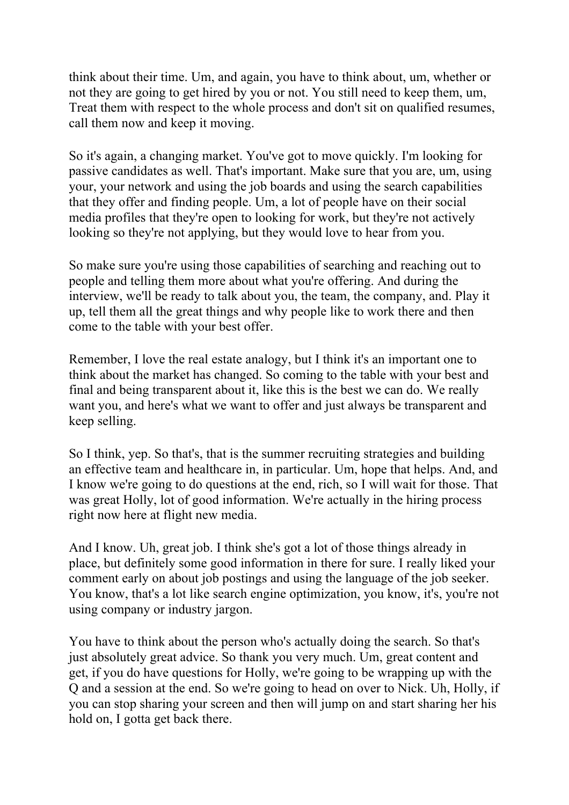think about their time. Um, and again, you have to think about, um, whether or not they are going to get hired by you or not. You still need to keep them, um, Treat them with respect to the whole process and don't sit on qualified resumes, call them now and keep it moving.

So it's again, a changing market. You've got to move quickly. I'm looking for passive candidates as well. That's important. Make sure that you are, um, using your, your network and using the job boards and using the search capabilities that they offer and finding people. Um, a lot of people have on their social media profiles that they're open to looking for work, but they're not actively looking so they're not applying, but they would love to hear from you.

So make sure you're using those capabilities of searching and reaching out to people and telling them more about what you're offering. And during the interview, we'll be ready to talk about you, the team, the company, and. Play it up, tell them all the great things and why people like to work there and then come to the table with your best offer.

Remember, I love the real estate analogy, but I think it's an important one to think about the market has changed. So coming to the table with your best and final and being transparent about it, like this is the best we can do. We really want you, and here's what we want to offer and just always be transparent and keep selling.

So I think, yep. So that's, that is the summer recruiting strategies and building an effective team and healthcare in, in particular. Um, hope that helps. And, and I know we're going to do questions at the end, rich, so I will wait for those. That was great Holly, lot of good information. We're actually in the hiring process right now here at flight new media.

And I know. Uh, great job. I think she's got a lot of those things already in place, but definitely some good information in there for sure. I really liked your comment early on about job postings and using the language of the job seeker. You know, that's a lot like search engine optimization, you know, it's, you're not using company or industry jargon.

You have to think about the person who's actually doing the search. So that's just absolutely great advice. So thank you very much. Um, great content and get, if you do have questions for Holly, we're going to be wrapping up with the Q and a session at the end. So we're going to head on over to Nick. Uh, Holly, if you can stop sharing your screen and then will jump on and start sharing her his hold on, I gotta get back there.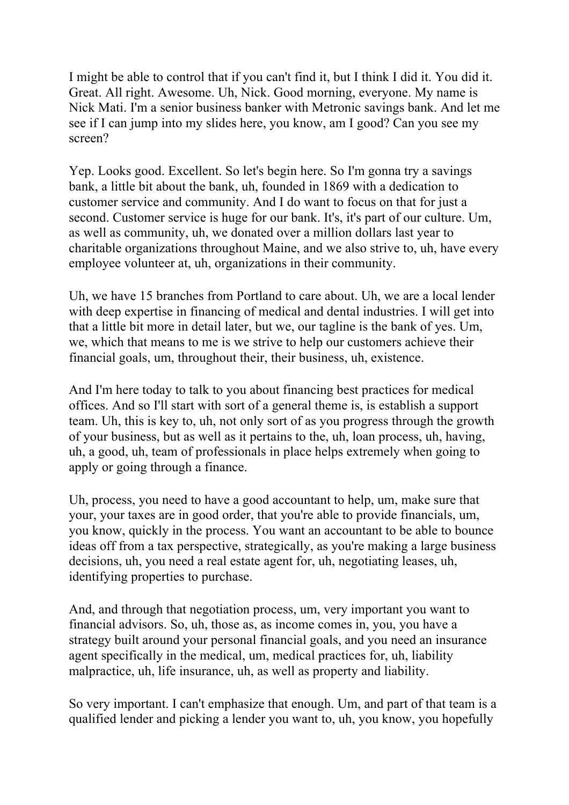I might be able to control that if you can't find it, but I think I did it. You did it. Great. All right. Awesome. Uh, Nick. Good morning, everyone. My name is Nick Mati. I'm a senior business banker with Metronic savings bank. And let me see if I can jump into my slides here, you know, am I good? Can you see my screen?

Yep. Looks good. Excellent. So let's begin here. So I'm gonna try a savings bank, a little bit about the bank, uh, founded in 1869 with a dedication to customer service and community. And I do want to focus on that for just a second. Customer service is huge for our bank. It's, it's part of our culture. Um, as well as community, uh, we donated over a million dollars last year to charitable organizations throughout Maine, and we also strive to, uh, have every employee volunteer at, uh, organizations in their community.

Uh, we have 15 branches from Portland to care about. Uh, we are a local lender with deep expertise in financing of medical and dental industries. I will get into that a little bit more in detail later, but we, our tagline is the bank of yes. Um, we, which that means to me is we strive to help our customers achieve their financial goals, um, throughout their, their business, uh, existence.

And I'm here today to talk to you about financing best practices for medical offices. And so I'll start with sort of a general theme is, is establish a support team. Uh, this is key to, uh, not only sort of as you progress through the growth of your business, but as well as it pertains to the, uh, loan process, uh, having, uh, a good, uh, team of professionals in place helps extremely when going to apply or going through a finance.

Uh, process, you need to have a good accountant to help, um, make sure that your, your taxes are in good order, that you're able to provide financials, um, you know, quickly in the process. You want an accountant to be able to bounce ideas off from a tax perspective, strategically, as you're making a large business decisions, uh, you need a real estate agent for, uh, negotiating leases, uh, identifying properties to purchase.

And, and through that negotiation process, um, very important you want to financial advisors. So, uh, those as, as income comes in, you, you have a strategy built around your personal financial goals, and you need an insurance agent specifically in the medical, um, medical practices for, uh, liability malpractice, uh, life insurance, uh, as well as property and liability.

So very important. I can't emphasize that enough. Um, and part of that team is a qualified lender and picking a lender you want to, uh, you know, you hopefully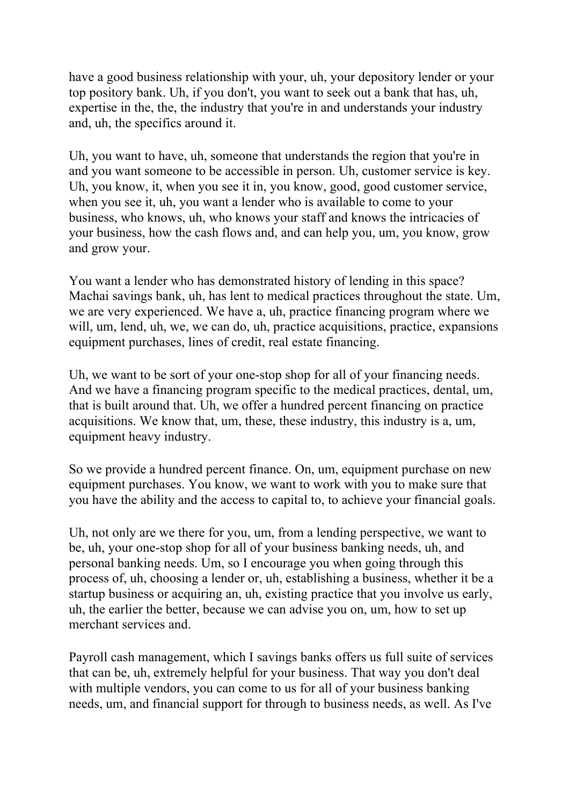have a good business relationship with your, uh, your depository lender or your top pository bank. Uh, if you don't, you want to seek out a bank that has, uh, expertise in the, the, the industry that you're in and understands your industry and, uh, the specifics around it.

Uh, you want to have, uh, someone that understands the region that you're in and you want someone to be accessible in person. Uh, customer service is key. Uh, you know, it, when you see it in, you know, good, good customer service, when you see it, uh, you want a lender who is available to come to your business, who knows, uh, who knows your staff and knows the intricacies of your business, how the cash flows and, and can help you, um, you know, grow and grow your.

You want a lender who has demonstrated history of lending in this space? Machai savings bank, uh, has lent to medical practices throughout the state. Um, we are very experienced. We have a, uh, practice financing program where we will, um, lend, uh, we, we can do, uh, practice acquisitions, practice, expansions equipment purchases, lines of credit, real estate financing.

Uh, we want to be sort of your one-stop shop for all of your financing needs. And we have a financing program specific to the medical practices, dental, um, that is built around that. Uh, we offer a hundred percent financing on practice acquisitions. We know that, um, these, these industry, this industry is a, um, equipment heavy industry.

So we provide a hundred percent finance. On, um, equipment purchase on new equipment purchases. You know, we want to work with you to make sure that you have the ability and the access to capital to, to achieve your financial goals.

Uh, not only are we there for you, um, from a lending perspective, we want to be, uh, your one-stop shop for all of your business banking needs, uh, and personal banking needs. Um, so I encourage you when going through this process of, uh, choosing a lender or, uh, establishing a business, whether it be a startup business or acquiring an, uh, existing practice that you involve us early, uh, the earlier the better, because we can advise you on, um, how to set up merchant services and.

Payroll cash management, which I savings banks offers us full suite of services that can be, uh, extremely helpful for your business. That way you don't deal with multiple vendors, you can come to us for all of your business banking needs, um, and financial support for through to business needs, as well. As I've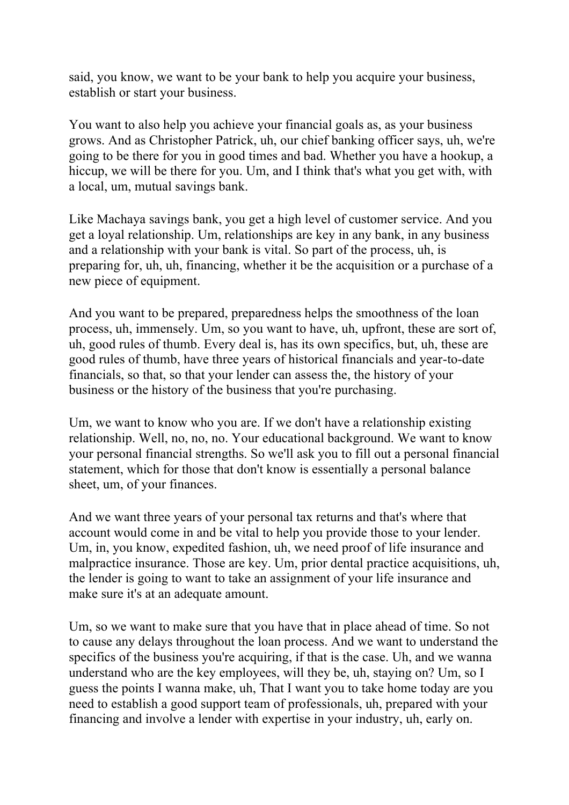said, you know, we want to be your bank to help you acquire your business, establish or start your business.

You want to also help you achieve your financial goals as, as your business grows. And as Christopher Patrick, uh, our chief banking officer says, uh, we're going to be there for you in good times and bad. Whether you have a hookup, a hiccup, we will be there for you. Um, and I think that's what you get with, with a local, um, mutual savings bank.

Like Machaya savings bank, you get a high level of customer service. And you get a loyal relationship. Um, relationships are key in any bank, in any business and a relationship with your bank is vital. So part of the process, uh, is preparing for, uh, uh, financing, whether it be the acquisition or a purchase of a new piece of equipment.

And you want to be prepared, preparedness helps the smoothness of the loan process, uh, immensely. Um, so you want to have, uh, upfront, these are sort of, uh, good rules of thumb. Every deal is, has its own specifics, but, uh, these are good rules of thumb, have three years of historical financials and year-to-date financials, so that, so that your lender can assess the, the history of your business or the history of the business that you're purchasing.

Um, we want to know who you are. If we don't have a relationship existing relationship. Well, no, no, no. Your educational background. We want to know your personal financial strengths. So we'll ask you to fill out a personal financial statement, which for those that don't know is essentially a personal balance sheet, um, of your finances.

And we want three years of your personal tax returns and that's where that account would come in and be vital to help you provide those to your lender. Um, in, you know, expedited fashion, uh, we need proof of life insurance and malpractice insurance. Those are key. Um, prior dental practice acquisitions, uh, the lender is going to want to take an assignment of your life insurance and make sure it's at an adequate amount.

Um, so we want to make sure that you have that in place ahead of time. So not to cause any delays throughout the loan process. And we want to understand the specifics of the business you're acquiring, if that is the case. Uh, and we wanna understand who are the key employees, will they be, uh, staying on? Um, so I guess the points I wanna make, uh, That I want you to take home today are you need to establish a good support team of professionals, uh, prepared with your financing and involve a lender with expertise in your industry, uh, early on.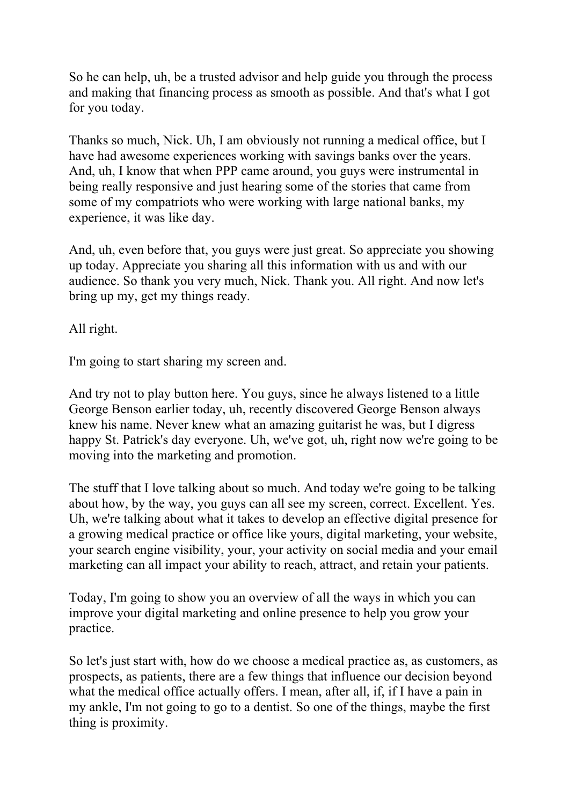So he can help, uh, be a trusted advisor and help guide you through the process and making that financing process as smooth as possible. And that's what I got for you today.

Thanks so much, Nick. Uh, I am obviously not running a medical office, but I have had awesome experiences working with savings banks over the years. And, uh, I know that when PPP came around, you guys were instrumental in being really responsive and just hearing some of the stories that came from some of my compatriots who were working with large national banks, my experience, it was like day.

And, uh, even before that, you guys were just great. So appreciate you showing up today. Appreciate you sharing all this information with us and with our audience. So thank you very much, Nick. Thank you. All right. And now let's bring up my, get my things ready.

All right.

I'm going to start sharing my screen and.

And try not to play button here. You guys, since he always listened to a little George Benson earlier today, uh, recently discovered George Benson always knew his name. Never knew what an amazing guitarist he was, but I digress happy St. Patrick's day everyone. Uh, we've got, uh, right now we're going to be moving into the marketing and promotion.

The stuff that I love talking about so much. And today we're going to be talking about how, by the way, you guys can all see my screen, correct. Excellent. Yes. Uh, we're talking about what it takes to develop an effective digital presence for a growing medical practice or office like yours, digital marketing, your website, your search engine visibility, your, your activity on social media and your email marketing can all impact your ability to reach, attract, and retain your patients.

Today, I'm going to show you an overview of all the ways in which you can improve your digital marketing and online presence to help you grow your practice.

So let's just start with, how do we choose a medical practice as, as customers, as prospects, as patients, there are a few things that influence our decision beyond what the medical office actually offers. I mean, after all, if, if I have a pain in my ankle, I'm not going to go to a dentist. So one of the things, maybe the first thing is proximity.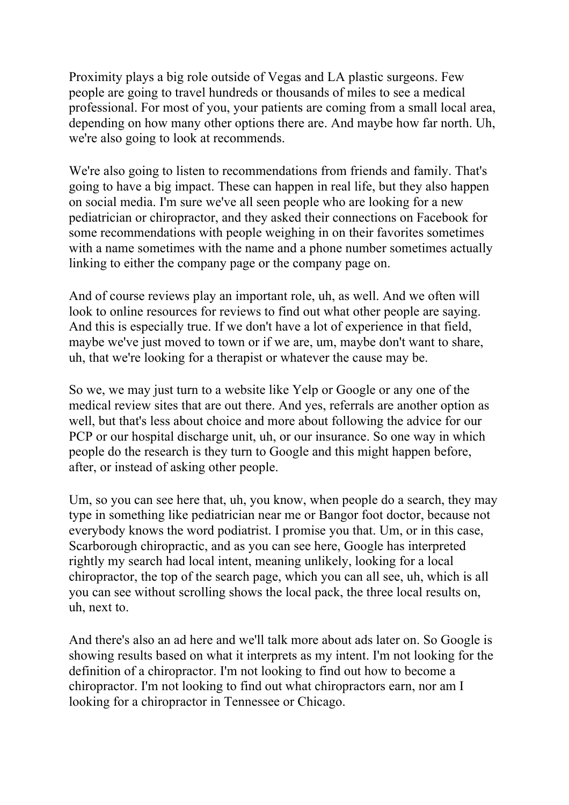Proximity plays a big role outside of Vegas and LA plastic surgeons. Few people are going to travel hundreds or thousands of miles to see a medical professional. For most of you, your patients are coming from a small local area, depending on how many other options there are. And maybe how far north. Uh, we're also going to look at recommends.

We're also going to listen to recommendations from friends and family. That's going to have a big impact. These can happen in real life, but they also happen on social media. I'm sure we've all seen people who are looking for a new pediatrician or chiropractor, and they asked their connections on Facebook for some recommendations with people weighing in on their favorites sometimes with a name sometimes with the name and a phone number sometimes actually linking to either the company page or the company page on.

And of course reviews play an important role, uh, as well. And we often will look to online resources for reviews to find out what other people are saying. And this is especially true. If we don't have a lot of experience in that field, maybe we've just moved to town or if we are, um, maybe don't want to share, uh, that we're looking for a therapist or whatever the cause may be.

So we, we may just turn to a website like Yelp or Google or any one of the medical review sites that are out there. And yes, referrals are another option as well, but that's less about choice and more about following the advice for our PCP or our hospital discharge unit, uh, or our insurance. So one way in which people do the research is they turn to Google and this might happen before, after, or instead of asking other people.

Um, so you can see here that, uh, you know, when people do a search, they may type in something like pediatrician near me or Bangor foot doctor, because not everybody knows the word podiatrist. I promise you that. Um, or in this case, Scarborough chiropractic, and as you can see here, Google has interpreted rightly my search had local intent, meaning unlikely, looking for a local chiropractor, the top of the search page, which you can all see, uh, which is all you can see without scrolling shows the local pack, the three local results on, uh, next to.

And there's also an ad here and we'll talk more about ads later on. So Google is showing results based on what it interprets as my intent. I'm not looking for the definition of a chiropractor. I'm not looking to find out how to become a chiropractor. I'm not looking to find out what chiropractors earn, nor am I looking for a chiropractor in Tennessee or Chicago.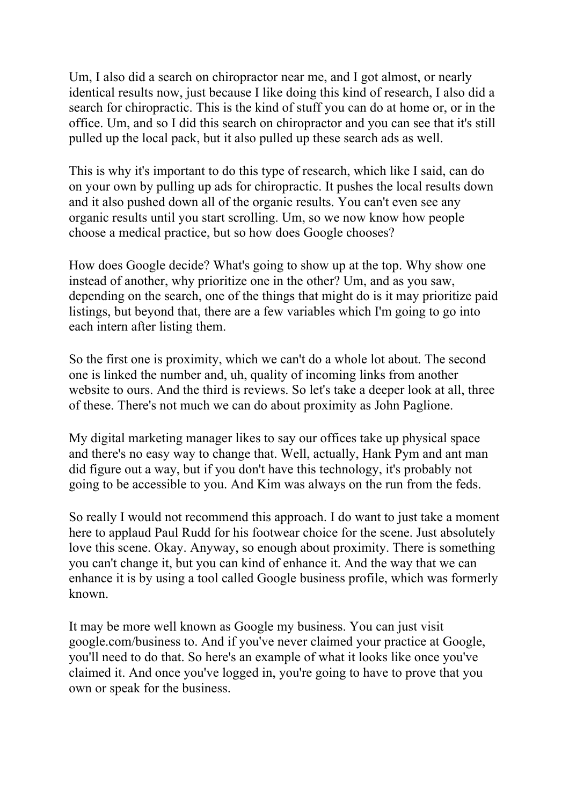Um, I also did a search on chiropractor near me, and I got almost, or nearly identical results now, just because I like doing this kind of research, I also did a search for chiropractic. This is the kind of stuff you can do at home or, or in the office. Um, and so I did this search on chiropractor and you can see that it's still pulled up the local pack, but it also pulled up these search ads as well.

This is why it's important to do this type of research, which like I said, can do on your own by pulling up ads for chiropractic. It pushes the local results down and it also pushed down all of the organic results. You can't even see any organic results until you start scrolling. Um, so we now know how people choose a medical practice, but so how does Google chooses?

How does Google decide? What's going to show up at the top. Why show one instead of another, why prioritize one in the other? Um, and as you saw, depending on the search, one of the things that might do is it may prioritize paid listings, but beyond that, there are a few variables which I'm going to go into each intern after listing them.

So the first one is proximity, which we can't do a whole lot about. The second one is linked the number and, uh, quality of incoming links from another website to ours. And the third is reviews. So let's take a deeper look at all, three of these. There's not much we can do about proximity as John Paglione.

My digital marketing manager likes to say our offices take up physical space and there's no easy way to change that. Well, actually, Hank Pym and ant man did figure out a way, but if you don't have this technology, it's probably not going to be accessible to you. And Kim was always on the run from the feds.

So really I would not recommend this approach. I do want to just take a moment here to applaud Paul Rudd for his footwear choice for the scene. Just absolutely love this scene. Okay. Anyway, so enough about proximity. There is something you can't change it, but you can kind of enhance it. And the way that we can enhance it is by using a tool called Google business profile, which was formerly known.

It may be more well known as Google my business. You can just visit google.com/business to. And if you've never claimed your practice at Google, you'll need to do that. So here's an example of what it looks like once you've claimed it. And once you've logged in, you're going to have to prove that you own or speak for the business.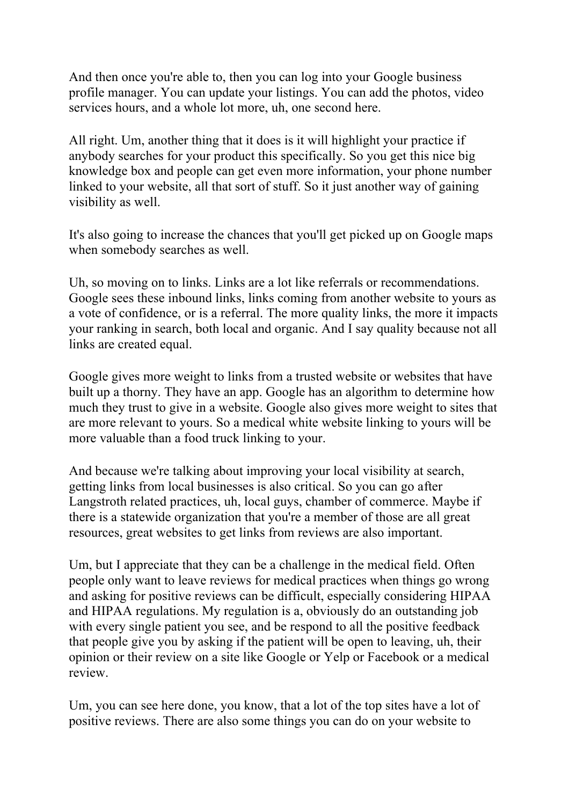And then once you're able to, then you can log into your Google business profile manager. You can update your listings. You can add the photos, video services hours, and a whole lot more, uh, one second here.

All right. Um, another thing that it does is it will highlight your practice if anybody searches for your product this specifically. So you get this nice big knowledge box and people can get even more information, your phone number linked to your website, all that sort of stuff. So it just another way of gaining visibility as well.

It's also going to increase the chances that you'll get picked up on Google maps when somebody searches as well.

Uh, so moving on to links. Links are a lot like referrals or recommendations. Google sees these inbound links, links coming from another website to yours as a vote of confidence, or is a referral. The more quality links, the more it impacts your ranking in search, both local and organic. And I say quality because not all links are created equal.

Google gives more weight to links from a trusted website or websites that have built up a thorny. They have an app. Google has an algorithm to determine how much they trust to give in a website. Google also gives more weight to sites that are more relevant to yours. So a medical white website linking to yours will be more valuable than a food truck linking to your.

And because we're talking about improving your local visibility at search, getting links from local businesses is also critical. So you can go after Langstroth related practices, uh, local guys, chamber of commerce. Maybe if there is a statewide organization that you're a member of those are all great resources, great websites to get links from reviews are also important.

Um, but I appreciate that they can be a challenge in the medical field. Often people only want to leave reviews for medical practices when things go wrong and asking for positive reviews can be difficult, especially considering HIPAA and HIPAA regulations. My regulation is a, obviously do an outstanding job with every single patient you see, and be respond to all the positive feedback that people give you by asking if the patient will be open to leaving, uh, their opinion or their review on a site like Google or Yelp or Facebook or a medical review.

Um, you can see here done, you know, that a lot of the top sites have a lot of positive reviews. There are also some things you can do on your website to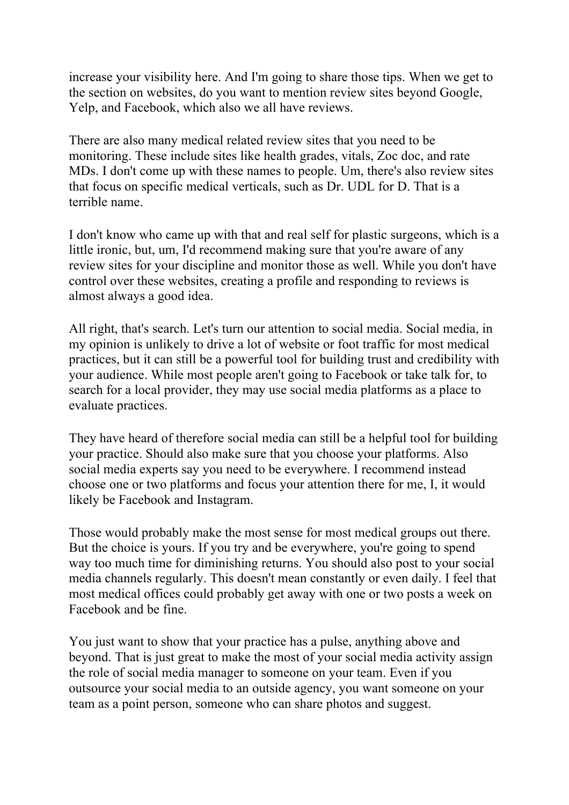increase your visibility here. And I'm going to share those tips. When we get to the section on websites, do you want to mention review sites beyond Google, Yelp, and Facebook, which also we all have reviews.

There are also many medical related review sites that you need to be monitoring. These include sites like health grades, vitals, Zoc doc, and rate MDs. I don't come up with these names to people. Um, there's also review sites that focus on specific medical verticals, such as Dr. UDL for D. That is a terrible name.

I don't know who came up with that and real self for plastic surgeons, which is a little ironic, but, um, I'd recommend making sure that you're aware of any review sites for your discipline and monitor those as well. While you don't have control over these websites, creating a profile and responding to reviews is almost always a good idea.

All right, that's search. Let's turn our attention to social media. Social media, in my opinion is unlikely to drive a lot of website or foot traffic for most medical practices, but it can still be a powerful tool for building trust and credibility with your audience. While most people aren't going to Facebook or take talk for, to search for a local provider, they may use social media platforms as a place to evaluate practices.

They have heard of therefore social media can still be a helpful tool for building your practice. Should also make sure that you choose your platforms. Also social media experts say you need to be everywhere. I recommend instead choose one or two platforms and focus your attention there for me, I, it would likely be Facebook and Instagram.

Those would probably make the most sense for most medical groups out there. But the choice is yours. If you try and be everywhere, you're going to spend way too much time for diminishing returns. You should also post to your social media channels regularly. This doesn't mean constantly or even daily. I feel that most medical offices could probably get away with one or two posts a week on Facebook and be fine.

You just want to show that your practice has a pulse, anything above and beyond. That is just great to make the most of your social media activity assign the role of social media manager to someone on your team. Even if you outsource your social media to an outside agency, you want someone on your team as a point person, someone who can share photos and suggest.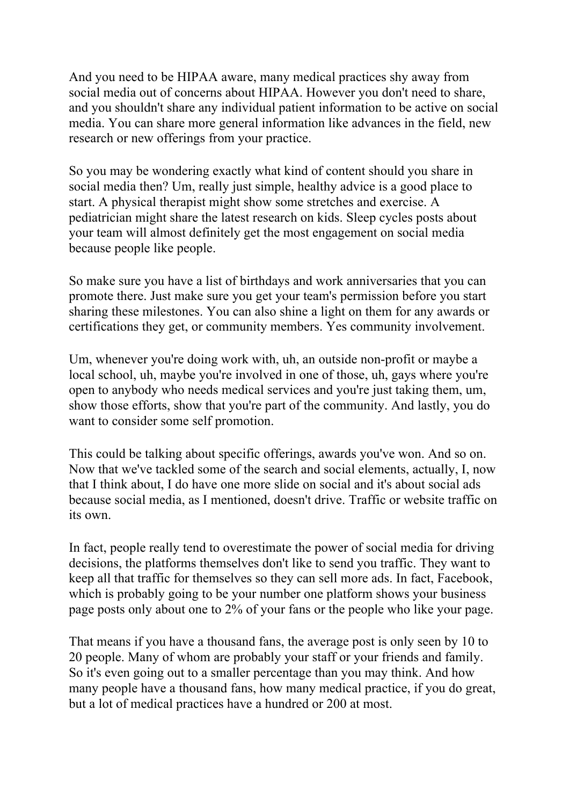And you need to be HIPAA aware, many medical practices shy away from social media out of concerns about HIPAA. However you don't need to share, and you shouldn't share any individual patient information to be active on social media. You can share more general information like advances in the field, new research or new offerings from your practice.

So you may be wondering exactly what kind of content should you share in social media then? Um, really just simple, healthy advice is a good place to start. A physical therapist might show some stretches and exercise. A pediatrician might share the latest research on kids. Sleep cycles posts about your team will almost definitely get the most engagement on social media because people like people.

So make sure you have a list of birthdays and work anniversaries that you can promote there. Just make sure you get your team's permission before you start sharing these milestones. You can also shine a light on them for any awards or certifications they get, or community members. Yes community involvement.

Um, whenever you're doing work with, uh, an outside non-profit or maybe a local school, uh, maybe you're involved in one of those, uh, gays where you're open to anybody who needs medical services and you're just taking them, um, show those efforts, show that you're part of the community. And lastly, you do want to consider some self promotion.

This could be talking about specific offerings, awards you've won. And so on. Now that we've tackled some of the search and social elements, actually, I, now that I think about, I do have one more slide on social and it's about social ads because social media, as I mentioned, doesn't drive. Traffic or website traffic on its own.

In fact, people really tend to overestimate the power of social media for driving decisions, the platforms themselves don't like to send you traffic. They want to keep all that traffic for themselves so they can sell more ads. In fact, Facebook, which is probably going to be your number one platform shows your business page posts only about one to 2% of your fans or the people who like your page.

That means if you have a thousand fans, the average post is only seen by 10 to 20 people. Many of whom are probably your staff or your friends and family. So it's even going out to a smaller percentage than you may think. And how many people have a thousand fans, how many medical practice, if you do great, but a lot of medical practices have a hundred or 200 at most.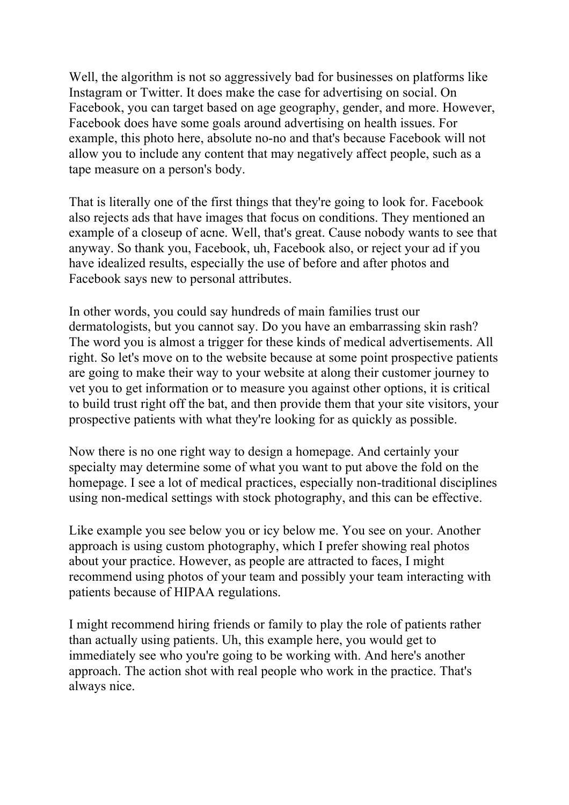Well, the algorithm is not so aggressively bad for businesses on platforms like Instagram or Twitter. It does make the case for advertising on social. On Facebook, you can target based on age geography, gender, and more. However, Facebook does have some goals around advertising on health issues. For example, this photo here, absolute no-no and that's because Facebook will not allow you to include any content that may negatively affect people, such as a tape measure on a person's body.

That is literally one of the first things that they're going to look for. Facebook also rejects ads that have images that focus on conditions. They mentioned an example of a closeup of acne. Well, that's great. Cause nobody wants to see that anyway. So thank you, Facebook, uh, Facebook also, or reject your ad if you have idealized results, especially the use of before and after photos and Facebook says new to personal attributes.

In other words, you could say hundreds of main families trust our dermatologists, but you cannot say. Do you have an embarrassing skin rash? The word you is almost a trigger for these kinds of medical advertisements. All right. So let's move on to the website because at some point prospective patients are going to make their way to your website at along their customer journey to vet you to get information or to measure you against other options, it is critical to build trust right off the bat, and then provide them that your site visitors, your prospective patients with what they're looking for as quickly as possible.

Now there is no one right way to design a homepage. And certainly your specialty may determine some of what you want to put above the fold on the homepage. I see a lot of medical practices, especially non-traditional disciplines using non-medical settings with stock photography, and this can be effective.

Like example you see below you or icy below me. You see on your. Another approach is using custom photography, which I prefer showing real photos about your practice. However, as people are attracted to faces, I might recommend using photos of your team and possibly your team interacting with patients because of HIPAA regulations.

I might recommend hiring friends or family to play the role of patients rather than actually using patients. Uh, this example here, you would get to immediately see who you're going to be working with. And here's another approach. The action shot with real people who work in the practice. That's always nice.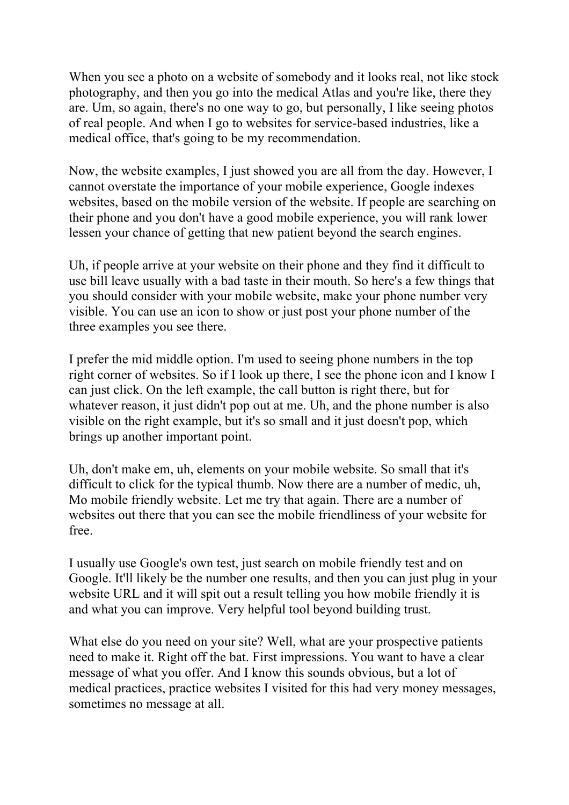When you see a photo on a website of somebody and it looks real, not like stock photography, and then you go into the medical Atlas and you're like, there they are. Um, so again, there's no one way to go, but personally, I like seeing photos of real people. And when I go to websites for service-based industries, like a medical office, that's going to be my recommendation.

Now, the website examples, I just showed you are all from the day. However, I cannot overstate the importance of your mobile experience, Google indexes websites, based on the mobile version of the website. If people are searching on their phone and you don't have a good mobile experience, you will rank lower lessen your chance of getting that new patient beyond the search engines.

Uh, if people arrive at your website on their phone and they find it difficult to use bill leave usually with a bad taste in their mouth. So here's a few things that you should consider with your mobile website, make your phone number very visible. You can use an icon to show or just post your phone number of the three examples you see there.

I prefer the mid middle option. I'm used to seeing phone numbers in the top right corner of websites. So if I look up there, I see the phone icon and I know I can just click. On the left example, the call button is right there, but for whatever reason, it just didn't pop out at me. Uh, and the phone number is also visible on the right example, but it's so small and it just doesn't pop, which brings up another important point.

Uh, don't make em, uh, elements on your mobile website. So small that it's difficult to click for the typical thumb. Now there are a number of medic, uh, Mo mobile friendly website. Let me try that again. There are a number of websites out there that you can see the mobile friendliness of your website for free.

I usually use Google's own test, just search on mobile friendly test and on Google. It'll likely be the number one results, and then you can just plug in your website URL and it will spit out a result telling you how mobile friendly it is and what you can improve. Very helpful tool beyond building trust.

What else do you need on your site? Well, what are your prospective patients need to make it. Right off the bat. First impressions. You want to have a clear message of what you offer. And I know this sounds obvious, but a lot of medical practices, practice websites I visited for this had very money messages, sometimes no message at all.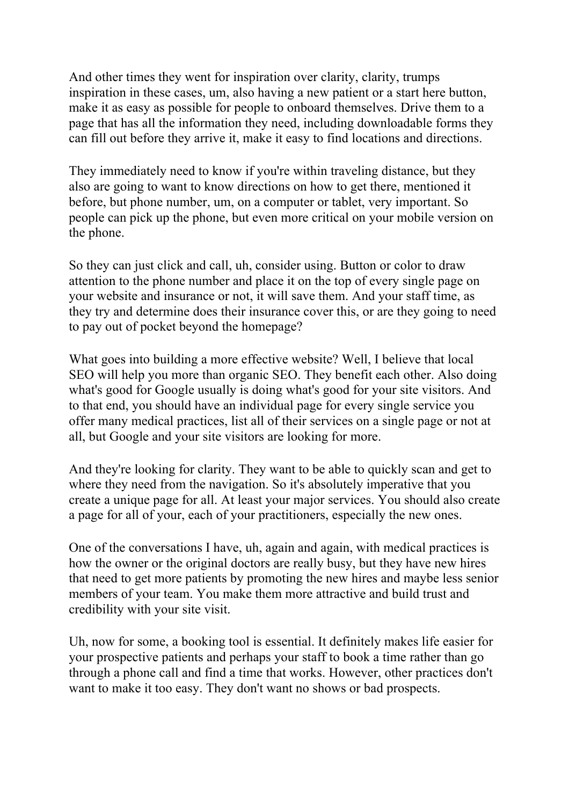And other times they went for inspiration over clarity, clarity, trumps inspiration in these cases, um, also having a new patient or a start here button, make it as easy as possible for people to onboard themselves. Drive them to a page that has all the information they need, including downloadable forms they can fill out before they arrive it, make it easy to find locations and directions.

They immediately need to know if you're within traveling distance, but they also are going to want to know directions on how to get there, mentioned it before, but phone number, um, on a computer or tablet, very important. So people can pick up the phone, but even more critical on your mobile version on the phone.

So they can just click and call, uh, consider using. Button or color to draw attention to the phone number and place it on the top of every single page on your website and insurance or not, it will save them. And your staff time, as they try and determine does their insurance cover this, or are they going to need to pay out of pocket beyond the homepage?

What goes into building a more effective website? Well, I believe that local SEO will help you more than organic SEO. They benefit each other. Also doing what's good for Google usually is doing what's good for your site visitors. And to that end, you should have an individual page for every single service you offer many medical practices, list all of their services on a single page or not at all, but Google and your site visitors are looking for more.

And they're looking for clarity. They want to be able to quickly scan and get to where they need from the navigation. So it's absolutely imperative that you create a unique page for all. At least your major services. You should also create a page for all of your, each of your practitioners, especially the new ones.

One of the conversations I have, uh, again and again, with medical practices is how the owner or the original doctors are really busy, but they have new hires that need to get more patients by promoting the new hires and maybe less senior members of your team. You make them more attractive and build trust and credibility with your site visit.

Uh, now for some, a booking tool is essential. It definitely makes life easier for your prospective patients and perhaps your staff to book a time rather than go through a phone call and find a time that works. However, other practices don't want to make it too easy. They don't want no shows or bad prospects.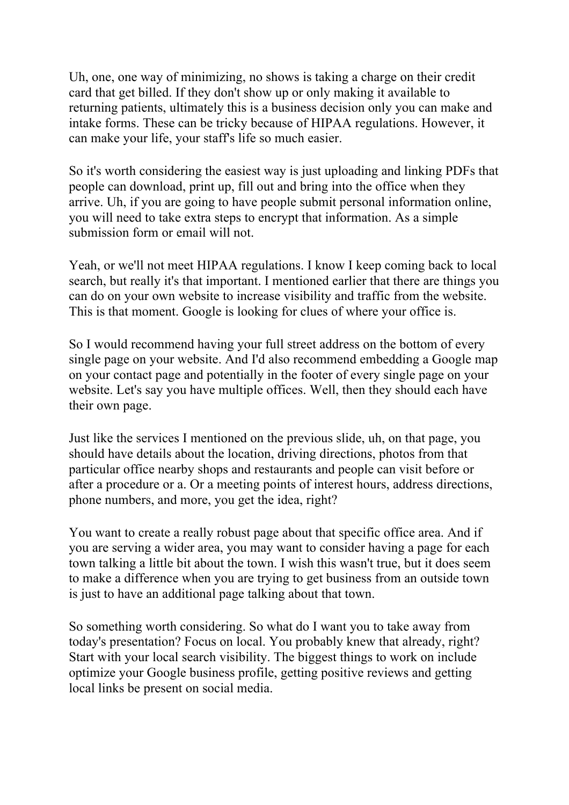Uh, one, one way of minimizing, no shows is taking a charge on their credit card that get billed. If they don't show up or only making it available to returning patients, ultimately this is a business decision only you can make and intake forms. These can be tricky because of HIPAA regulations. However, it can make your life, your staff's life so much easier.

So it's worth considering the easiest way is just uploading and linking PDFs that people can download, print up, fill out and bring into the office when they arrive. Uh, if you are going to have people submit personal information online, you will need to take extra steps to encrypt that information. As a simple submission form or email will not.

Yeah, or we'll not meet HIPAA regulations. I know I keep coming back to local search, but really it's that important. I mentioned earlier that there are things you can do on your own website to increase visibility and traffic from the website. This is that moment. Google is looking for clues of where your office is.

So I would recommend having your full street address on the bottom of every single page on your website. And I'd also recommend embedding a Google map on your contact page and potentially in the footer of every single page on your website. Let's say you have multiple offices. Well, then they should each have their own page.

Just like the services I mentioned on the previous slide, uh, on that page, you should have details about the location, driving directions, photos from that particular office nearby shops and restaurants and people can visit before or after a procedure or a. Or a meeting points of interest hours, address directions, phone numbers, and more, you get the idea, right?

You want to create a really robust page about that specific office area. And if you are serving a wider area, you may want to consider having a page for each town talking a little bit about the town. I wish this wasn't true, but it does seem to make a difference when you are trying to get business from an outside town is just to have an additional page talking about that town.

So something worth considering. So what do I want you to take away from today's presentation? Focus on local. You probably knew that already, right? Start with your local search visibility. The biggest things to work on include optimize your Google business profile, getting positive reviews and getting local links be present on social media.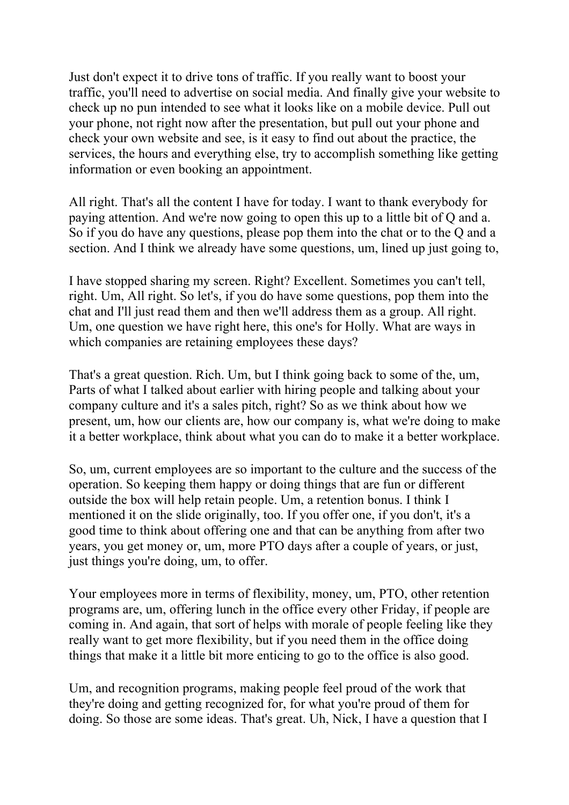Just don't expect it to drive tons of traffic. If you really want to boost your traffic, you'll need to advertise on social media. And finally give your website to check up no pun intended to see what it looks like on a mobile device. Pull out your phone, not right now after the presentation, but pull out your phone and check your own website and see, is it easy to find out about the practice, the services, the hours and everything else, try to accomplish something like getting information or even booking an appointment.

All right. That's all the content I have for today. I want to thank everybody for paying attention. And we're now going to open this up to a little bit of Q and a. So if you do have any questions, please pop them into the chat or to the Q and a section. And I think we already have some questions, um, lined up just going to,

I have stopped sharing my screen. Right? Excellent. Sometimes you can't tell, right. Um, All right. So let's, if you do have some questions, pop them into the chat and I'll just read them and then we'll address them as a group. All right. Um, one question we have right here, this one's for Holly. What are ways in which companies are retaining employees these days?

That's a great question. Rich. Um, but I think going back to some of the, um, Parts of what I talked about earlier with hiring people and talking about your company culture and it's a sales pitch, right? So as we think about how we present, um, how our clients are, how our company is, what we're doing to make it a better workplace, think about what you can do to make it a better workplace.

So, um, current employees are so important to the culture and the success of the operation. So keeping them happy or doing things that are fun or different outside the box will help retain people. Um, a retention bonus. I think I mentioned it on the slide originally, too. If you offer one, if you don't, it's a good time to think about offering one and that can be anything from after two years, you get money or, um, more PTO days after a couple of years, or just, just things you're doing, um, to offer.

Your employees more in terms of flexibility, money, um, PTO, other retention programs are, um, offering lunch in the office every other Friday, if people are coming in. And again, that sort of helps with morale of people feeling like they really want to get more flexibility, but if you need them in the office doing things that make it a little bit more enticing to go to the office is also good.

Um, and recognition programs, making people feel proud of the work that they're doing and getting recognized for, for what you're proud of them for doing. So those are some ideas. That's great. Uh, Nick, I have a question that I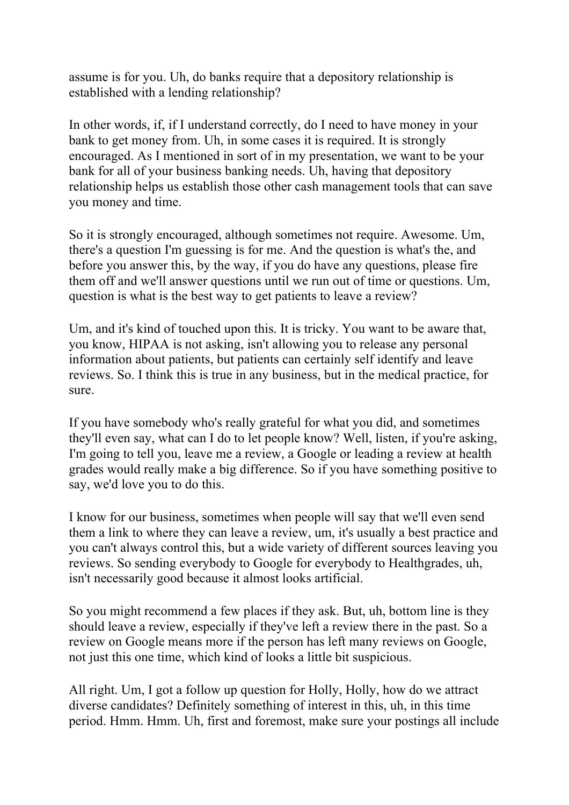assume is for you. Uh, do banks require that a depository relationship is established with a lending relationship?

In other words, if, if I understand correctly, do I need to have money in your bank to get money from. Uh, in some cases it is required. It is strongly encouraged. As I mentioned in sort of in my presentation, we want to be your bank for all of your business banking needs. Uh, having that depository relationship helps us establish those other cash management tools that can save you money and time.

So it is strongly encouraged, although sometimes not require. Awesome. Um, there's a question I'm guessing is for me. And the question is what's the, and before you answer this, by the way, if you do have any questions, please fire them off and we'll answer questions until we run out of time or questions. Um, question is what is the best way to get patients to leave a review?

Um, and it's kind of touched upon this. It is tricky. You want to be aware that, you know, HIPAA is not asking, isn't allowing you to release any personal information about patients, but patients can certainly self identify and leave reviews. So. I think this is true in any business, but in the medical practice, for sure.

If you have somebody who's really grateful for what you did, and sometimes they'll even say, what can I do to let people know? Well, listen, if you're asking, I'm going to tell you, leave me a review, a Google or leading a review at health grades would really make a big difference. So if you have something positive to say, we'd love you to do this.

I know for our business, sometimes when people will say that we'll even send them a link to where they can leave a review, um, it's usually a best practice and you can't always control this, but a wide variety of different sources leaving you reviews. So sending everybody to Google for everybody to Healthgrades, uh, isn't necessarily good because it almost looks artificial.

So you might recommend a few places if they ask. But, uh, bottom line is they should leave a review, especially if they've left a review there in the past. So a review on Google means more if the person has left many reviews on Google, not just this one time, which kind of looks a little bit suspicious.

All right. Um, I got a follow up question for Holly, Holly, how do we attract diverse candidates? Definitely something of interest in this, uh, in this time period. Hmm. Hmm. Uh, first and foremost, make sure your postings all include